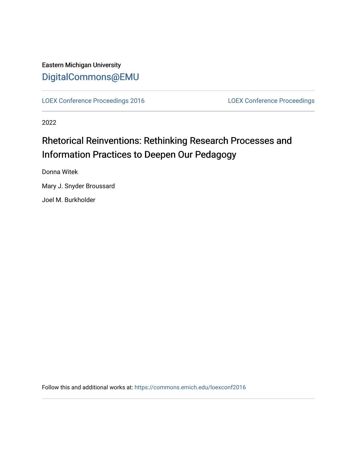### Eastern Michigan University [DigitalCommons@EMU](https://commons.emich.edu/)

[LOEX Conference Proceedings 2016](https://commons.emich.edu/loexconf2016) [LOEX Conference Proceedings](https://commons.emich.edu/loexconf) 

2022

## Rhetorical Reinventions: Rethinking Research Processes and Information Practices to Deepen Our Pedagogy

Donna Witek

Mary J. Snyder Broussard

Joel M. Burkholder

Follow this and additional works at: [https://commons.emich.edu/loexconf2016](https://commons.emich.edu/loexconf2016?utm_source=commons.emich.edu%2Floexconf2016%2F5&utm_medium=PDF&utm_campaign=PDFCoverPages)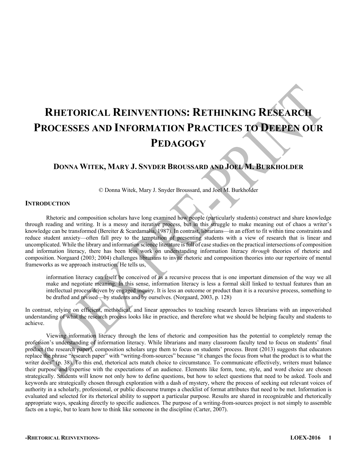# **RHETORICAL REINVENTIONS: RETHINKING RESEARCH PROCESSES AND INFORMATION PRACTICES TO DEEPEN OUR PEDAGOGY**

#### **DONNA WITEK, MARY J. SNYDER BROUSSARD AND JOEL M. BURKHOLDER**

© Donna Witek, Mary J. Snyder Broussard, and Joel M. Burkholder

#### **INTRODUCTION**

Rhetoric and composition scholars have long examined how people (particularly students) construct and share knowledge through reading and writing. It is a messy and iterative process, but in this struggle to make meaning out of chaos a writer's knowledge can be transformed (Bereiter & Scardamalia, 1987). In contrast, librarians—in an effort to fit within time constraints and reduce student anxiety—often fall prey to the temptation of presenting students with a view of research that is linear and uncomplicated. While the library and information science literature is full of case studies on the practical intersections of composition and information literacy, there has been less work on understanding information literacy *through* theories of rhetoric and composition. Norgaard (2003; 2004) challenges librarians to invite rhetoric and composition theories into our repertoire of mental frameworks as we approach instruction. He tells us,

information literacy can itself be conceived of as a recursive process that is one important dimension of the way we all make and negotiate meaning. In this sense, information literacy is less a formal skill linked to textual features than an intellectual process driven by engaged inquiry. It is less an outcome or product than it is a recursive process, something to be drafted and revised—by students and by ourselves. (Norgaard, 2003, p. 128)

In contrast, relying on efficient, methodical, and linear approaches to teaching research leaves librarians with an impoverished understanding of what the research process looks like in practice, and therefore what we should be helping faculty and students to achieve.

Viewing information literacy through the lens of rhetoric and composition has the potential to completely remap the profession's understanding of information literacy. While librarians and many classroom faculty tend to focus on students' final product (the research paper), composition scholars urge them to focus on students' process. Brent (2013) suggests that educators replace the phrase "research paper" with "writing-from-sources" because "it changes the focus from what the product is to what the writer does" (p. 38). To this end, rhetorical acts match choice to circumstance. To communicate effectively, writers must balance their purpose and expertise with the expectations of an audience. Elements like form, tone, style, and word choice are chosen strategically. Students will know not only how to define questions, but how to select questions that need to be asked. Tools and keywords are strategically chosen through exploration with a dash of mystery, where the process of seeking out relevant voices of authority in a scholarly, professional, or public discourse trumps a checklist of format attributes that need to be met. Information is evaluated and selected for its rhetorical ability to support a particular purpose. Results are shared in recognizable and rhetorically appropriate ways, speaking directly to specific audiences. The purpose of a writing-from-sources project is not simply to assemble facts on a topic, but to learn how to think like someone in the discipline (Carter, 2007).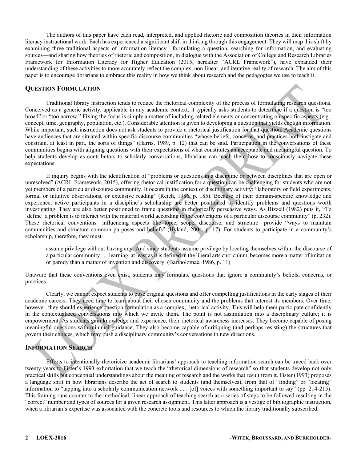The authors of this paper have each read, interpreted, and applied rhetoric and composition theories in their information literacy instructional work. Each has experienced a significant shift in thinking through this engagement. They will map this shift by examining three traditional aspects of information literacy—formulating a question, searching for information, and evaluating sources—and sharing how theories of rhetoric and composition, in dialogue with the Association of College and Research Libraries Framework for Information Literacy for Higher Education (2015, hereafter "ACRL Framework"), have expanded their understanding of these activities to more accurately reflect the complex, non-linear, and iterative reality of research. The aim of this paper is to encourage librarians to embrace this reality in how we think about research and the pedagogies we use to teach it.

#### **QUESTION FORMULATION**

Traditional library instruction tends to reduce the rhetorical complexity of the process of formulating research questions. Conceived as a generic activity, applicable in any academic context, it typically asks students to determine if a question is "too broad" or "too narrow." Fixing the focus is simply a matter of including related elements or concentrating on specific aspects (e.g., concept, time, geography, population, etc.). Considerable attention is given to developing a question that yields enough information. While important, such instruction does not ask students to provide a rhetorical justification for that question. Academic questions have audiences that are situated within specific discourse communities "whose beliefs, concerns, and practices both instigate and constrain, at least in part, the sorts of things" (Harris, 1989, p. 12) that can be said. Participation in the conversations of these communities begins with aligning questions with their expectations of what constitutes an acceptable and meaningful question. To help students develop as contributors to scholarly conversations, librarians can teach them how to consciously navigate these expectations.

If inquiry begins with the identification of "problems or questions in a discipline or between disciplines that are open or unresolved" (ACRL Framework, 2015), offering rhetorical justification for a question can be challenging for students who are not yet members of a particular discourse community. It occurs in the context of disciplinary activity: "laboratory or field experiments, formal or intuitive observations, or extensive reading" (Reich, 1986, p. 185). Because of their domain-specific knowledge and experience, active participants in a discipline's scholarship are better positioned to identify problems and questions worth investigating. They are also better positioned to frame questions in rhetorically persuasive ways. As Bizzell (1982) puts it, "To 'define' a problem is to interact with the material world according to the conventions of a particular discourse community" (p. 232). These rhetorical conventions—influencing aspects like topic, scope, discourse, and structure—provide "ways to maintain communities and structure common purposes and beliefs" (Hyland, 2004, p. 17). For students to participate in a community's scholarship, therefore, they must

assume privilege without having any. And since students assume privilege by locating themselves within the discourse of a particular community . . . learning, at least as it is defined in the liberal arts curriculum, becomes more a matter of imitation or parody than a matter of invention and discovery. (Bartholomae, 1986, p. 11)

Unaware that these conventions even exist, students may formulate questions that ignore a community's beliefs, concerns, or practices.

Clearly, we cannot expect students to pose original questions and offer compelling justifications in the early stages of their academic careers. They need time to learn about their chosen community and the problems that interest its members. Over time, however, they should experience question formulation as a complex, rhetorical activity. This will help them participate confidently in the contextualized conversations into which we invite them. The point is not assimilation into a disciplinary culture; it is empowerment. As students gain knowledge and experience, their rhetorical awareness increases. They become capable of posing meaningful questions with minimal guidance. They also become capable of critiquing (and perhaps resisting) the structures that govern their choices, which may push a disciplinary community's conversations in new directions.

#### **INFORMATION SEARCH**

Efforts to intentionally rhetoricize academic librarians' approach to teaching information search can be traced back over twenty years to Fister's 1993 exhortation that we teach the "rhetorical dimensions of research" so that students develop not only practical skills but conceptual understandings about the meaning of research and the works that result from it. Fister (1993) proposes a language shift in how librarians describe the act of search to students (and themselves), from that of "finding" or "locating" information to "tapping into a scholarly communication network . . . [of] voices with something important to say" (pp. 214-215). This framing runs counter to the methodical, linear approach of teaching search as a series of steps to be followed resulting in the "correct" number and types of sources for a given research assignment. This latter approach is a vestige of bibliographic instruction, when a librarian's expertise was associated with the concrete tools and resources to which the library traditionally subscribed.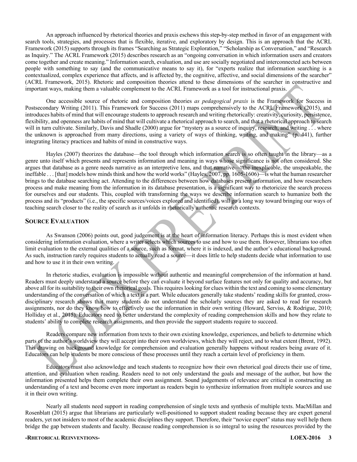An approach influenced by rhetorical theories and praxis eschews this step-by-step method in favor of an engagement with search tools, strategies, and processes that is flexible, iterative, and exploratory by design. This is an approach that the ACRL Framework (2015) supports through its frames "Searching as Strategic Exploration," "Scholarship as Conversation," and "Research as Inquiry." The ACRL Framework (2015) describes research as an "ongoing conversation in which information users and creators come together and create meaning." Information search, evaluation, and use are socially negotiated and interconnected acts between people with something to say (and the communicative means to say it), for "experts realize that information searching is a contextualized, complex experience that affects, and is affected by, the cognitive, affective, and social dimensions of the searcher" (ACRL Framework, 2015). Rhetoric and composition theories attend to these dimensions of the searcher in constructive and important ways, making them a valuable complement to the ACRL Framework as a tool for instructional praxis.

One accessible source of rhetoric and composition theories *as pedagogical praxis* is the Framework for Success in Postsecondary Writing (2011). This Framework for Success (2011) maps comprehensively to the ACRL Framework (2015), and introduces habits of mind that will encourage students to approach research and writing rhetorically: creativity, curiosity, persistence, flexibility, and openness are habits of mind that will cultivate a rhetorical approach to search, and that a rhetorical approach to search will in turn cultivate. Similarly, Davis and Shadle (2000) argue for "mystery as a source of inquiry, research, and writing . . . where the unknown is approached from many directions, using a variety of ways of thinking, writing, and making" (p. 441), further integrating literacy practices and habits of mind in constructive ways.

Hayles (2007) theorizes the database—the tool through which information search is so often taught in the library—as a genre unto itself which presents and represents information and meaning in ways whose significance is not often considered. She argues that database as a genre needs narrative as an interpretive lens, and that narrative—"the inexplicable, the unspeakable, the ineffable . . . [that] models how minds think and how the world works" (Hayles, 2007, pp. 1605-1606)—is what the human researcher brings to the database searching act. Attending to the differences between how databases present information, and how researchers process and make meaning from the information in its database presentation, is a significant way to rhetoricize the search process for ourselves and our students. This, coupled with transforming the ways we describe information search to humanize both the process and its "products" (i.e., the specific sources/voices explored and identified), will go a long way toward bringing our ways of teaching search closer to the reality of search as it unfolds in rhetorically authentic research contexts.

#### **SOURCE EVALUATION**

As Swanson (2006) points out, good judgement is at the heart of information literacy. Perhaps this is most evident when considering information evaluation, where a writer selects which sources to use and how to use them. However, librarians too often limit evaluation to the external qualities of a source, such as format, where it is indexed, and the author's educational background. As such, instruction rarely requires students to actually read a source—it does little to help students decide what information to use and how to use it in their own writing.

In rhetoric studies, evaluation is impossible without authentic and meaningful comprehension of the information at hand. Readers must deeply understand a source before they can evaluate it beyond surface features not only for quality and accuracy, but above all for its suitability to their own rhetorical goals. This requires looking for clues within the text and coming to some elementary understanding of the conversation of which a text is a part. While educators generally take students' reading skills for granted, crossdisciplinary research shows that many students do not understand the scholarly sources they are asked to read for research assignments, nor do they know how to effectively use the information in their own writing (Howard, Serviss, & Rodrigue, 2010; Holliday et al., 2015). Educators need to better understand the complexity of reading comprehension skills and how they relate to students' ability to complete research assignments, and then provide the support students require to succeed.

Readers compare new information from texts to their own existing knowledge, experiences, and beliefs to determine which parts of the author's worldview they will accept into their own worldviews, which they will reject, and to what extent (Brent, 1992). This drawing on background knowledge for comprehension and evaluation generally happens without readers being aware of it. Educators can help students be more conscious of these processes until they reach a certain level of proficiency in them.

Educators must also acknowledge and teach students to recognize how their own rhetorical goal directs their use of time, attention, and evaluation when reading. Readers need to not only understand the goals and message of the author, but how the information presented helps them complete their own assignment. Sound judgements of relevance are critical in constructing an understanding of a text and become even more important as readers begin to synthesize information from multiple sources and use it in their own writing.

Nearly all students need support in reading comprehension of single texts and synthesis of multiple texts. MacMillan and Rosenblatt (2015) argue that librarians are particularly well-positioned to support student reading because they are expert general readers, yet not insiders to most of the academic disciplines they support. Therefore, their "novice expert" status may well help them bridge the gap between students and faculty. Because reading comprehension is so integral to using the resources provided by the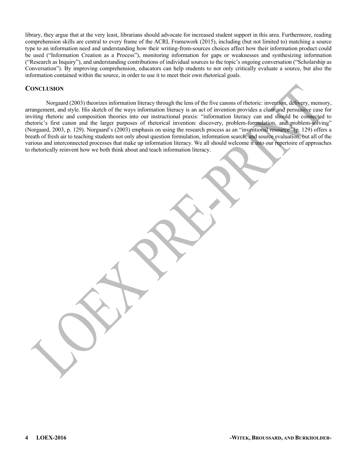library, they argue that at the very least, librarians should advocate for increased student support in this area. Furthermore, reading comprehension skills are central to every frame of the ACRL Framework (2015), including (but not limited to) matching a source type to an information need and understanding how their writing-from-sources choices affect how their information product could be used ("Information Creation as a Process"), monitoring information for gaps or weaknesses and synthesizing information ("Research as Inquiry"), and understanding contributions of individual sources to the topic's ongoing conversation ("Scholarship as Conversation"). By improving comprehension, educators can help students to not only critically evaluate a source, but also the information contained within the source, in order to use it to meet their own rhetorical goals.

#### **CONCLUSION**

Norgaard (2003) theorizes information literacy through the lens of the five canons of rhetoric: invention, delivery, memory, arrangement, and style. His sketch of the ways information literacy is an act of invention provides a clear and persuasive case for inviting rhetoric and composition theories into our instructional praxis: "information literacy can and should be connected to rhetoric's first canon and the larger purposes of rhetorical invention: discovery, problem-formulation, and problem-solving" (Norgaard, 2003, p. 129). Norgaard's (2003) emphasis on using the research process as an "inventional resource" (p. 129) offers a breath of fresh air to teaching students not only about question formulation, information search, and source evaluation, but all of the various and interconnected processes that make up information literacy. We all should welcome it into our repertoire of approaches to rhetorically reinvent how we both think about and teach information literacy.